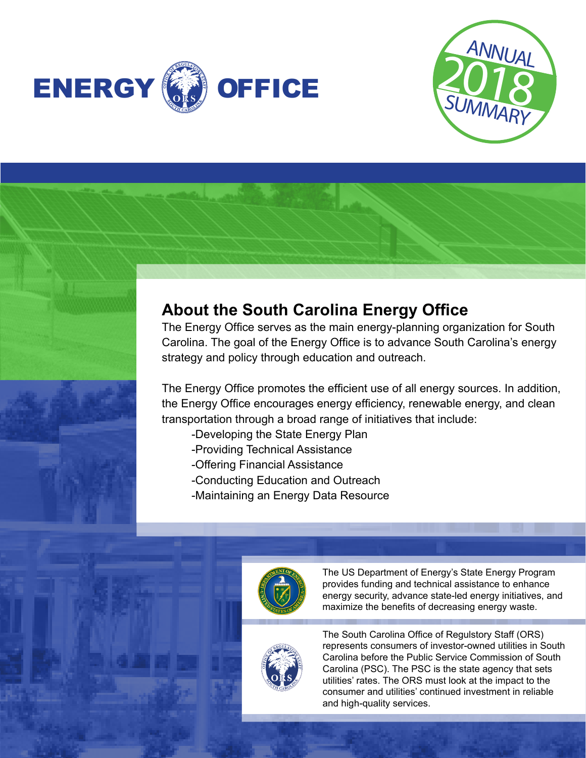



## **About the South Carolina Energy Office**

The Energy Office serves as the main energy-planning organization for South Carolina. The goal of the Energy Office is to advance South Carolina's energy strategy and policy through education and outreach.

The Energy Office promotes the efficient use of all energy sources. In addition, the Energy Office encourages energy efficiency, renewable energy, and clean transportation through a broad range of initiatives that include:

- -Developing the State Energy Plan
- -Providing Technical Assistance
- -Offering Financial Assistance
- -Conducting Education and Outreach
- -Maintaining an Energy Data Resource



The US Department of Energy's State Energy Program provides funding and technical assistance to enhance energy security, advance state-led energy initiatives, and maximize the benefits of decreasing energy waste.



The South Carolina Office of Regulstory Staff (ORS) represents consumers of investor-owned utilities in South Carolina before the Public Service Commission of South Carolina (PSC). The PSC is the state agency that sets utilities' rates. The ORS must look at the impact to the consumer and utilities' continued investment in reliable and high-quality services.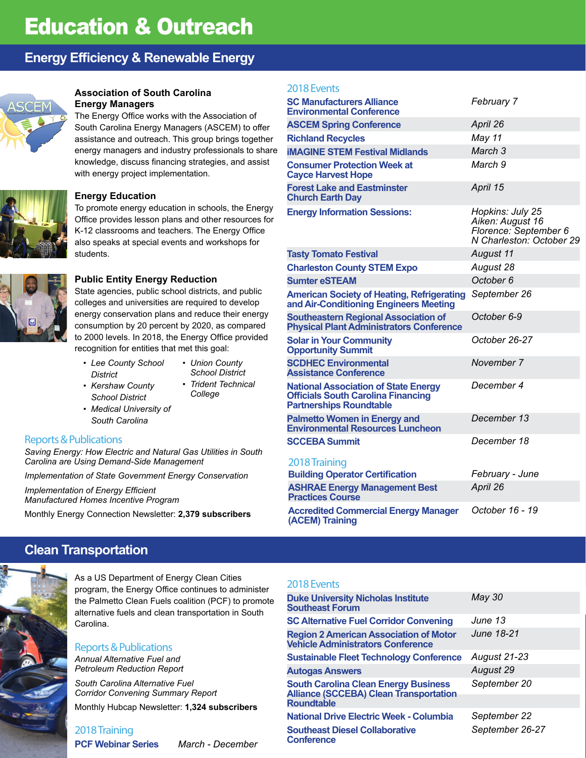## Education & Outreach

### **Energy Efficiency & Renewable Energy**



#### **Association of South Carolina Energy Managers**

The Energy Office works with the Association of South Carolina Energy Managers (ASCEM) to offer assistance and outreach. This group brings together energy managers and industry professionals to share knowledge, discuss financing strategies, and assist with energy project implementation.

#### **Energy Education**



To promote energy education in schools, the Energy Office provides lesson plans and other resources for K-12 classrooms and teachers. The Energy Office also speaks at special events and workshops for students.



#### **Public Entity Energy Reduction**

State agencies, public school districts, and public colleges and universities are required to develop energy conservation plans and reduce their energy consumption by 20 percent by 2020, as compared to 2000 levels. In 2018, the Energy Office provided recognition for entities that met this goal:

- *• Lee County School District*
- *• Union County School District*
- *• Kershaw County School District*
- *• Trident Technical College*
- *• Medical University of South Carolina*

#### Reports & Publications

*Saving Energy: How Electric and Natural Gas Utilities in South Carolina are Using Demand-Side Management*

*Implementation of State Government Energy Conservation*

*Implementation of Energy Efficient Manufactured Homes Incentive Program*

Monthly Energy Connection Newsletter: **2,379 subscribers**

#### 2018 Events

| <b>SC Manufacturers Alliance</b><br><b>Environmental Conference</b>                                                        | February 7                                                                                |
|----------------------------------------------------------------------------------------------------------------------------|-------------------------------------------------------------------------------------------|
| <b>ASCEM Spring Conference</b>                                                                                             | April 26                                                                                  |
| <b>Richland Recycles</b>                                                                                                   | May 11                                                                                    |
| <b>IMAGINE STEM Festival Midlands</b>                                                                                      | March 3                                                                                   |
| <b>Consumer Protection Week at</b><br><b>Cayce Harvest Hope</b>                                                            | March 9                                                                                   |
| <b>Forest Lake and Eastminster</b><br><b>Church Earth Day</b>                                                              | April 15                                                                                  |
| <b>Energy Information Sessions:</b>                                                                                        | Hopkins: July 25<br>Aiken: August 16<br>Florence: September 6<br>N Charleston: October 29 |
| <b>Tasty Tomato Festival</b>                                                                                               | August 11                                                                                 |
| <b>Charleston County STEM Expo</b>                                                                                         | August 28                                                                                 |
| <b>Sumter eSTEAM</b>                                                                                                       | October 6                                                                                 |
| <b>American Society of Heating, Refrigerating</b><br>and Air-Conditioning Engineers Meeting                                | September 26                                                                              |
| Southeastern Regional Association of<br>Physical Plant Administrators Conference                                           | October 6-9                                                                               |
| <b>Solar in Your Community</b><br><b>Opportunity Summit</b>                                                                | October 26-27                                                                             |
| <b>SCDHEC Environmental</b><br><b>Assistance Conference</b>                                                                | November 7                                                                                |
| <b>National Association of State Energy</b><br><b>Officials South Carolina Financing</b><br><b>Partnerships Roundtable</b> | December 4                                                                                |
| <b>Palmetto Women in Energy and</b><br><b>Environmental Resources Luncheon</b>                                             | December 13                                                                               |
| <b>SCCEBA Summit</b>                                                                                                       | December 18                                                                               |
| 2018 Training                                                                                                              |                                                                                           |
| <b>Building Operator Certification</b>                                                                                     | February - June                                                                           |
| <b>ASHRAE Energy Management Best</b><br><b>Practices Course</b>                                                            | April 26                                                                                  |
| <b>Accredited Commercial Energy Manager</b><br>(ACEM) Training                                                             | October 16 - 19                                                                           |

### **Clean Transportation**



As a US Department of Energy Clean Cities program, the Energy Office continues to administer the Palmetto Clean Fuels coalition (PCF) to promote alternative fuels and clean transportation in South Carolina.

#### Reports & Publications

*Annual Alternative Fuel and Petroleum Reduction Report*

*South Carolina Alternative Fuel Corridor Convening Summary Report* Monthly Hubcap Newsletter: **1,324 subscribers**

2018 Training

**PCF Webinar Series** *March - December*

#### 2018 Events

| <b>Duke University Nicholas Institute</b><br><b>Southeast Forum</b>                          | May 30              |
|----------------------------------------------------------------------------------------------|---------------------|
| <b>SC Alternative Fuel Corridor Convening</b>                                                | June 13             |
| <b>Region 2 American Association of Motor</b><br><b>Vehicle Administrators Conference</b>    | June 18-21          |
| <b>Sustainable Fleet Technology Conference</b>                                               | <b>August 21-23</b> |
| <b>Autogas Answers</b>                                                                       | August 29           |
| <b>South Carolina Clean Energy Business</b><br><b>Alliance (SCCEBA) Clean Transportation</b> | September 20        |
| <b>Roundtable</b>                                                                            |                     |
| <b>National Drive Electric Week - Columbia</b>                                               | September 22        |
| <b>Southeast Diesel Collaborative</b><br><b>Conference</b>                                   | September 26-27     |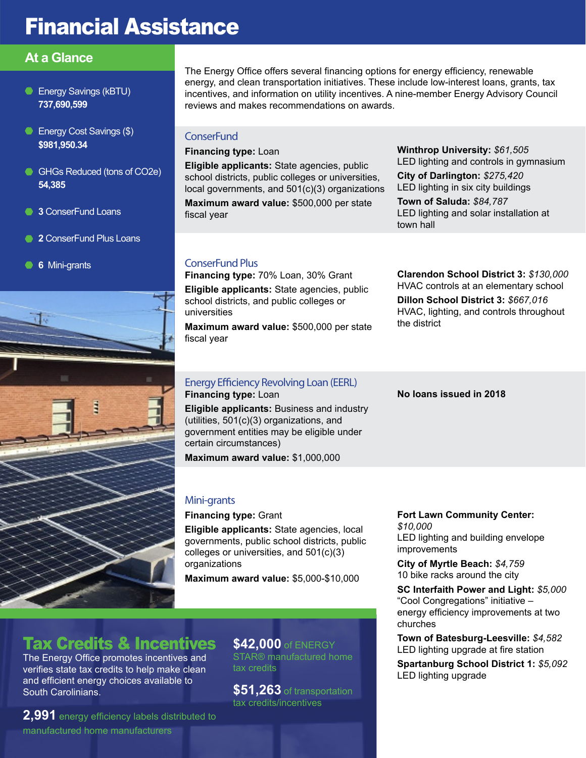## Financial Assistance

### **At a Glance**

- **Energy Savings (kBTU) 737,690,599**
- **Energy Cost Savings (\$) \$981,950.34**
- GHGs Reduced (tons of CO2e) **54,385**
- **3 ConserFund Loans**
- **2 ConserFund Plus Loans**
- **6** Mini-grants



#### The Energy Office offers several financing options for energy efficiency, renewable energy, and clean transportation initiatives. These include low-interest loans, grants, tax incentives, and information on utility incentives. A nine-member Energy Advisory Council reviews and makes recommendations on awards.

#### **ConserFund**

#### **Financing type:** Loan

**Eligible applicants:** State agencies, public school districts, public colleges or universities, local governments, and 501(c)(3) organizations

**Maximum award value:** \$500,000 per state fiscal year

**Winthrop University:** *\$61,505* LED lighting and controls in gymnasium

**City of Darlington:** *\$275,420* LED lighting in six city buildings

**Town of Saluda:** *\$84,787* LED lighting and solar installation at town hall

**Clarendon School District 3:** *\$130,000* HVAC controls at an elementary school **Dillon School District 3:** *\$667,016* HVAC, lighting, and controls throughout

#### ConserFund Plus

**Financing type:** 70% Loan, 30% Grant **Eligible applicants:** State agencies, public school districts, and public colleges or

universities **Maximum award value:** \$500,000 per state

fiscal year

#### Energy Efficiency Revolving Loan (EERL) **Financing type:** Loan

**Eligible applicants:** Business and industry (utilities, 501(c)(3) organizations, and government entities may be eligible under certain circumstances)

**Maximum award value:** \$1,000,000

#### Mini-grants

**Financing type:** Grant

**Eligible applicants:** State agencies, local governments, public school districts, public colleges or universities, and 501(c)(3) organizations

**Maximum award value:** \$5,000-\$10,000

## Tax Credits & Incentives

The Energy Office promotes incentives and verifies state tax credits to help make clean and efficient energy choices available to South Carolinians.

### **\$42,000** of ENERGY

STAR® manufactured home tax credits

**\$51,263** of transportation tax credits/incentives

**2,991** energy efficiency labels distributed to manufactured home manufacturers

### **Fort Lawn Community Center:**  *\$10,000*

**No loans issued in 2018**

the district

LED lighting and building envelope improvements

**City of Myrtle Beach:** *\$4,759* 10 bike racks around the city

**SC Interfaith Power and Light:** *\$5,000* "Cool Congregations" initiative – energy efficiency improvements at two churches

**Town of Batesburg-Leesville:** *\$4,582* LED lighting upgrade at fire station

**Spartanburg School District 1:** *\$5,092* LED lighting upgrade